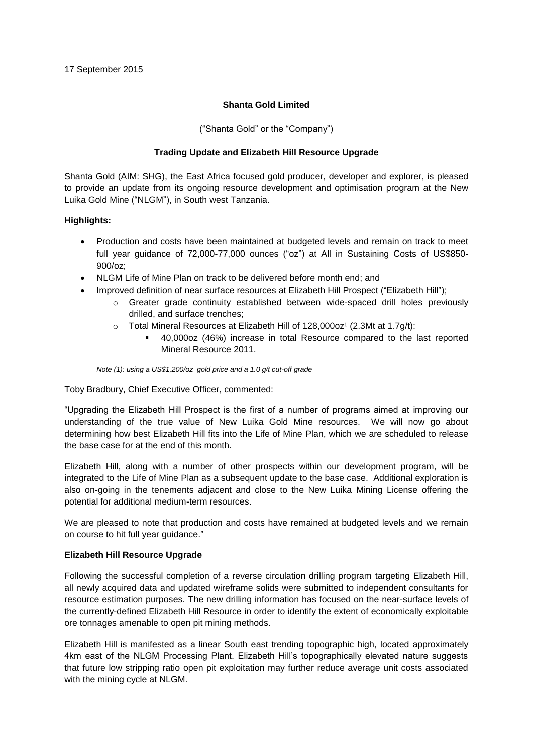## **Shanta Gold Limited**

("Shanta Gold" or the "Company")

# **Trading Update and Elizabeth Hill Resource Upgrade**

Shanta Gold (AIM: SHG), the East Africa focused gold producer, developer and explorer, is pleased to provide an update from its ongoing resource development and optimisation program at the New Luika Gold Mine ("NLGM"), in South west Tanzania.

# **Highlights:**

- Production and costs have been maintained at budgeted levels and remain on track to meet full year guidance of 72,000-77,000 ounces ("oz") at All in Sustaining Costs of US\$850- 900/oz;
- NLGM Life of Mine Plan on track to be delivered before month end; and
	- Improved definition of near surface resources at Elizabeth Hill Prospect ("Elizabeth Hill");
		- o Greater grade continuity established between wide-spaced drill holes previously drilled, and surface trenches;
		- $\circ$  Total Mineral Resources at Elizabeth Hill of 128,000oz<sup>1</sup> (2.3Mt at 1.7g/t):
			- 40,000oz (46%) increase in total Resource compared to the last reported Mineral Resource 2011.

*Note (1): using a US\$1,200/oz gold price and a 1.0 g/t cut-off grade*

Toby Bradbury, Chief Executive Officer, commented:

"Upgrading the Elizabeth Hill Prospect is the first of a number of programs aimed at improving our understanding of the true value of New Luika Gold Mine resources. We will now go about determining how best Elizabeth Hill fits into the Life of Mine Plan, which we are scheduled to release the base case for at the end of this month.

Elizabeth Hill, along with a number of other prospects within our development program, will be integrated to the Life of Mine Plan as a subsequent update to the base case. Additional exploration is also on-going in the tenements adjacent and close to the New Luika Mining License offering the potential for additional medium-term resources.

We are pleased to note that production and costs have remained at budgeted levels and we remain on course to hit full year guidance."

## **Elizabeth Hill Resource Upgrade**

Following the successful completion of a reverse circulation drilling program targeting Elizabeth Hill, all newly acquired data and updated wireframe solids were submitted to independent consultants for resource estimation purposes. The new drilling information has focused on the near-surface levels of the currently-defined Elizabeth Hill Resource in order to identify the extent of economically exploitable ore tonnages amenable to open pit mining methods.

Elizabeth Hill is manifested as a linear South east trending topographic high, located approximately 4km east of the NLGM Processing Plant. Elizabeth Hill's topographically elevated nature suggests that future low stripping ratio open pit exploitation may further reduce average unit costs associated with the mining cycle at NLGM.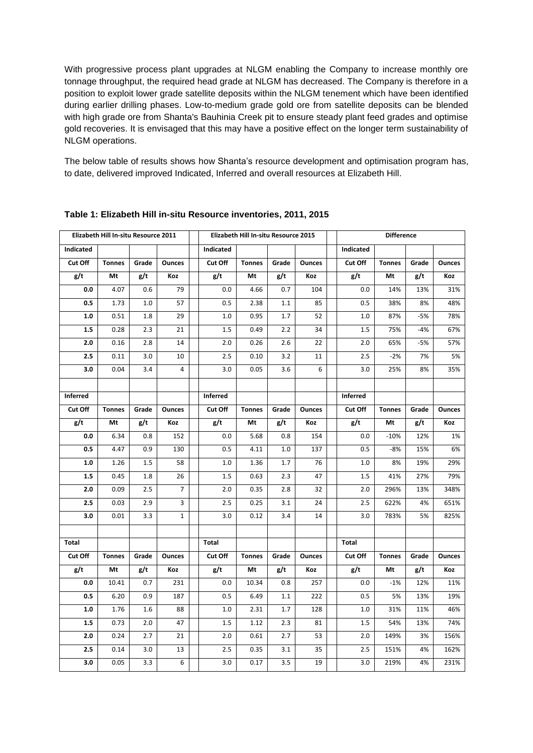With progressive process plant upgrades at NLGM enabling the Company to increase monthly ore tonnage throughput, the required head grade at NLGM has decreased. The Company is therefore in a position to exploit lower grade satellite deposits within the NLGM tenement which have been identified during earlier drilling phases. Low-to-medium grade gold ore from satellite deposits can be blended with high grade ore from Shanta's Bauhinia Creek pit to ensure steady plant feed grades and optimise gold recoveries. It is envisaged that this may have a positive effect on the longer term sustainability of NLGM operations.

The below table of results shows how Shanta's resource development and optimisation program has, to date, delivered improved Indicated, Inferred and overall resources at Elizabeth Hill.

| Elizabeth Hill In-situ Resource 2011 |               |       |                |  | Elizabeth Hill In-situ Resource 2015 |               |       |               |  | <b>Difference</b> |               |       |               |
|--------------------------------------|---------------|-------|----------------|--|--------------------------------------|---------------|-------|---------------|--|-------------------|---------------|-------|---------------|
| Indicated                            |               |       |                |  | Indicated                            |               |       |               |  | Indicated         |               |       |               |
| Cut Off                              | <b>Tonnes</b> | Grade | <b>Ounces</b>  |  | Cut Off                              | <b>Tonnes</b> | Grade | <b>Ounces</b> |  | Cut Off           | <b>Tonnes</b> | Grade | <b>Ounces</b> |
| g/t                                  | Mt            | g/t   | Koz            |  | g/t                                  | Mt            | g/t   | Koz           |  | g/t               | Mt            | g/t   | Koz           |
| 0.0                                  | 4.07          | 0.6   | 79             |  | 0.0                                  | 4.66          | 0.7   | 104           |  | 0.0               | 14%           | 13%   | 31%           |
| 0.5                                  | 1.73          | 1.0   | 57             |  | 0.5                                  | 2.38          | 1.1   | 85            |  | 0.5               | 38%           | 8%    | 48%           |
| 1.0                                  | 0.51          | 1.8   | 29             |  | 1.0                                  | 0.95          | 1.7   | 52            |  | 1.0               | 87%           | $-5%$ | 78%           |
| 1.5                                  | 0.28          | 2.3   | 21             |  | 1.5                                  | 0.49          | 2.2   | 34            |  | 1.5               | 75%           | $-4%$ | 67%           |
| 2.0                                  | 0.16          | 2.8   | 14             |  | 2.0                                  | 0.26          | 2.6   | 22            |  | 2.0               | 65%           | $-5%$ | 57%           |
| 2.5                                  | 0.11          | 3.0   | 10             |  | 2.5                                  | 0.10          | 3.2   | 11            |  | 2.5               | $-2%$         | 7%    | 5%            |
| 3.0                                  | 0.04          | 3.4   | 4              |  | 3.0                                  | 0.05          | 3.6   | 6             |  | 3.0               | 25%           | 8%    | 35%           |
|                                      |               |       |                |  |                                      |               |       |               |  |                   |               |       |               |
| <b>Inferred</b>                      |               |       |                |  | Inferred                             |               |       |               |  | Inferred          |               |       |               |
| Cut Off                              | <b>Tonnes</b> | Grade | <b>Ounces</b>  |  | Cut Off                              | <b>Tonnes</b> | Grade | <b>Ounces</b> |  | Cut Off           | <b>Tonnes</b> | Grade | Ounces        |
| g/t                                  | Mt            | g/t   | Koz            |  | g/t                                  | Mt            | g/t   | Koz           |  | g/t               | Mt            | g/t   | Koz           |
| 0.0                                  | 6.34          | 0.8   | 152            |  | 0.0                                  | 5.68          | 0.8   | 154           |  | 0.0               | $-10%$        | 12%   | 1%            |
| 0.5                                  | 4.47          | 0.9   | 130            |  | 0.5                                  | 4.11          | 1.0   | 137           |  | 0.5               | $-8%$         | 15%   | 6%            |
| 1.0                                  | 1.26          | 1.5   | 58             |  | 1.0                                  | 1.36          | 1.7   | 76            |  | 1.0               | 8%            | 19%   | 29%           |
| 1.5                                  | 0.45          | 1.8   | 26             |  | 1.5                                  | 0.63          | 2.3   | 47            |  | 1.5               | 41%           | 27%   | 79%           |
| 2.0                                  | 0.09          | 2.5   | $\overline{7}$ |  | 2.0                                  | 0.35          | 2.8   | 32            |  | 2.0               | 296%          | 13%   | 348%          |
| 2.5                                  | 0.03          | 2.9   | 3              |  | 2.5                                  | 0.25          | 3.1   | 24            |  | 2.5               | 622%          | 4%    | 651%          |
| 3.0                                  | 0.01          | 3.3   | $\mathbf{1}$   |  | 3.0                                  | 0.12          | 3.4   | 14            |  | 3.0               | 783%          | 5%    | 825%          |
|                                      |               |       |                |  |                                      |               |       |               |  |                   |               |       |               |
| Total                                |               |       |                |  | <b>Total</b>                         |               |       |               |  | Total             |               |       |               |
| Cut Off                              | <b>Tonnes</b> | Grade | <b>Ounces</b>  |  | Cut Off                              | <b>Tonnes</b> | Grade | <b>Ounces</b> |  | Cut Off           | <b>Tonnes</b> | Grade | <b>Ounces</b> |
| g/t                                  | Mt            | g/t   | Koz            |  | g/t                                  | Mt            | g/t   | Koz           |  | g/t               | Mt            | g/t   | Koz           |
| 0.0                                  | 10.41         | 0.7   | 231            |  | 0.0                                  | 10.34         | 0.8   | 257           |  | 0.0               | $-1%$         | 12%   | 11%           |
| 0.5                                  | 6.20          | 0.9   | 187            |  | 0.5                                  | 6.49          | 1.1   | 222           |  | 0.5               | 5%            | 13%   | 19%           |
| 1.0                                  | 1.76          | 1.6   | 88             |  | 1.0                                  | 2.31          | 1.7   | 128           |  | 1.0               | 31%           | 11%   | 46%           |
| 1.5                                  | 0.73          | 2.0   | 47             |  | 1.5                                  | 1.12          | 2.3   | 81            |  | 1.5               | 54%           | 13%   | 74%           |
| 2.0                                  | 0.24          | 2.7   | 21             |  | 2.0                                  | 0.61          | 2.7   | 53            |  | 2.0               | 149%          | 3%    | 156%          |
| 2.5                                  | 0.14          | 3.0   | 13             |  | 2.5                                  | 0.35          | 3.1   | 35            |  | 2.5               | 151%          | 4%    | 162%          |
| 3.0                                  | 0.05          | 3.3   | 6              |  | 3.0                                  | 0.17          | 3.5   | 19            |  | 3.0               | 219%          | 4%    | 231%          |

### **Table 1: Elizabeth Hill in-situ Resource inventories, 2011, 2015**